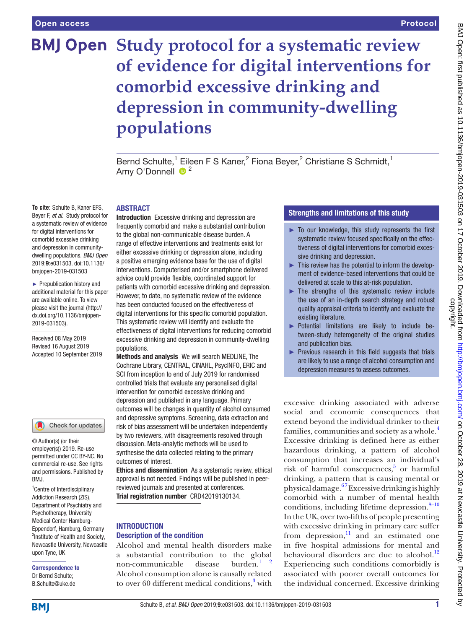# **BMJ Open Study protocol for a systematic review of evidence for digital interventions for comorbid excessive drinking and depression in community-dwelling populations**

Bernd Schulte,<sup>1</sup> Eileen F S Kaner,<sup>2</sup> Fiona Beyer,<sup>2</sup> Christiane S Schmidt,<sup>1</sup> Amy O'Donnell  $\bullet$ <sup>2</sup>

## **ABSTRACT**

**To cite:** Schulte B, Kaner EFS, Beyer F, *et al*. Study protocol for a systematic review of evidence for digital interventions for comorbid excessive drinking and depression in communitydwelling populations. *BMJ Open* 2019;9:e031503. doi:10.1136/ bmjopen-2019-031503

► Prepublication history and additional material for this paper are available online. To view please visit the journal (http:// dx.doi.org/10.1136/bmjopen-2019-031503).

Received 08 May 2019 Revised 16 August 2019 Accepted 10 September 2019

#### Check for updates

© Author(s) (or their employer(s)) 2019. Re-use permitted under CC BY-NC. No commercial re-use. See rights and permissions. Published by BMJ.

<sup>1</sup> Centre of Interdisciplinary Addiction Research (ZIS), Department of Psychiatry and Psychotherapy, University Medical Center Hamburg-Eppendorf, Hamburg, Germany <sup>2</sup>Institute of Health and Society, Newcastle University, Newcastle upon Tyne, UK

#### Correspondence to Dr Bernd Schulte; B.Schulte@uke.de

Introduction Excessive drinking and depression are frequently comorbid and make a substantial contribution to the global non-communicable disease burden. A range of effective interventions and treatments exist for either excessive drinking or depression alone, including a positive emerging evidence base for the use of digital interventions. Computerised and/or smartphone delivered advice could provide flexible, coordinated support for patients with comorbid excessive drinking and depression. However, to date, no systematic review of the evidence has been conducted focused on the effectiveness of digital interventions for this specific comorbid population. This systematic review will identify and evaluate the effectiveness of digital interventions for reducing comorbid excessive drinking and depression in community-dwelling populations.

Methods and analysis We will search MEDLINE, The Cochrane Library, CENTRAL, CINAHL, PsycINFO, ERIC and SCI from inception to end of July 2019 for randomised controlled trials that evaluate any personalised digital intervention for comorbid excessive drinking and depression and published in any language. Primary outcomes will be changes in quantity of alcohol consumed and depressive symptoms. Screening, data extraction and risk of bias assessment will be undertaken independently by two reviewers, with disagreements resolved through discussion. Meta-analytic methods will be used to synthesise the data collected relating to the primary outcomes of interest.

Ethics and dissemination As a systematic review, ethical approval is not needed. Findings will be published in peerreviewed journals and presented at conferences. Trial registration number CRD42019130134.

# **INTRODUCTION** Description of the condition

Alcohol and mental health disorders make a substantial contribution to the global non-communicable disease burden.<sup>1</sup> Alcohol consumption alone is causally related to over 60 different medical conditions,<sup>[3](#page-4-1)</sup> with

# Strengths and limitations of this study

- $\triangleright$  To our knowledge, this study represents the first systematic review focused specifically on the effectiveness of digital interventions for comorbid excessive drinking and depression.
- ► This review has the potential to inform the development of evidence-based interventions that could be delivered at scale to this at-risk population.
- $\blacktriangleright$  The strengths of this systematic review include the use of an in-depth search strategy and robust quality appraisal criteria to identify and evaluate the existing literature.
- ► Potential limitations are likely to include between-study heterogeneity of the original studies and publication bias.
- ► Previous research in this field suggests that trials are likely to use a range of alcohol consumption and depression measures to assess outcomes.

excessive drinking associated with adverse social and economic consequences that extend beyond the individual drinker to their families, communities and society as a whole.[4](#page-4-2) Excessive drinking is defined here as either hazardous drinking, a pattern of alcohol consumption that increases an individual's risk of harmful consequences,<sup>5</sup> or harmful drinking, a pattern that is causing mental or physical damage.<sup>67</sup> Excessive drinking is highly comorbid with a number of mental health conditions, including lifetime depression. $8-10$ In the UK, over two-fifths of people presenting with excessive drinking in primary care suffer from depression, $\frac{11}{11}$  and an estimated one in five hospital admissions for mental and behavioural disorders are due to alcohol. $^{12}$  $^{12}$  $^{12}$ Experiencing such conditions comorbidly is associated with poorer overall outcomes for the individual concerned. Excessive drinking

**BMI**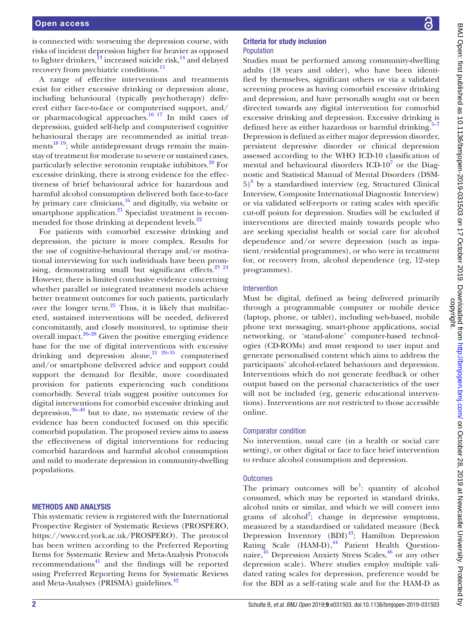is connected with: worsening the depression course, with risks of incident depression higher for heavier as opposed to lighter drinkers,  $^{13}$  $^{13}$  $^{13}$  increased suicide risk,  $^{14}$  and delayed recovery from psychiatric conditions[.15](#page-5-4)

A range of effective interventions and treatments exist for either excessive drinking or depression alone, including behavioural (typically psychotherapy) delivered either face-to-face or computerised support, and/ or pharmacological approaches[.16 17](#page-5-5) In mild cases of depression, guided self-help and computerised cognitive behavioural therapy are recommended as initial treatments $^{18}$ <sup>19</sup>; while antidepressant drugs remain the mainstay of treatment for moderate to severe or sustained cases, particularly selective serotonin reuptake inhibitors. $20$  For excessive drinking, there is strong evidence for the effectiveness of brief behavioural advice for hazardous and harmful alcohol consumption delivered both face-to-face by primary care clinicians, $16$  and digitally, via website or smartphone application. $^{21}$  Specialist treatment is recom-mended for those drinking at dependent levels.<sup>[22](#page-5-9)</sup>

For patients with comorbid excessive drinking and depression, the picture is more complex. Results for the use of cognitive-behavioural therapy and/or motivational interviewing for such individuals have been promising, demonstrating small but significant effects.<sup>23</sup> <sup>24</sup> However, there is limited conclusive evidence concerning whether parallel or integrated treatment models achieve better treatment outcomes for such patients, particularly over the longer term. $^{25}$  Thus, it is likely that multifaceted, sustained interventions will be needed, delivered concomitantly, and closely monitored, to optimise their overall impact. $26-28$  Given the positive emerging evidence base for the use of digital interventions with excessive drinking and depression alone,<sup>21 29–35</sup> computerised and/or smartphone delivered advice and support could support the demand for flexible, more coordinated provision for patients experiencing such conditions comorbidly. Several trials suggest positive outcomes for digital interventions for comorbid excessive drinking and depression, $36-40$  but to date, no systematic review of the evidence has been conducted focused on this specific comorbid population. The proposed review aims to assess the effectiveness of digital interventions for reducing comorbid hazardous and harmful alcohol consumption and mild to moderate depression in community-dwelling populations.

#### Methods and analysis

This systematic review is registered with the International Prospective Register of Systematic Reviews (PROSPERO, [https://www.crd.york.ac.uk/PROSPERO\)](https://www.crd.york.ac.uk/PROSPERO). The protocol has been written according to the Preferred Reporting Items for Systematic Review and Meta-Analysis Protocols recommendations<sup>41</sup> and the findings will be reported using Preferred Reporting Items for Systematic Reviews and Meta-Analyses (PRISMA) guidelines.<sup>42</sup>

#### Criteria for study inclusion **Population**

Studies must be performed among community-dwelling adults (18 years and older), who have been identified by themselves, significant others or via a validated screening process as having comorbid excessive drinking and depression, and have personally sought out or been directed towards any digital intervention for comorbid excessive drinking and depression. Excessive drinking is defined here as either hazardous or harmful drinking. $5-7$ Depression is defined as either major depression disorder, persistent depressive disorder or clinical depression assessed according to the WHO ICD-10 classification of mental and behavioural disorders  $ICD-10<sup>7</sup>$  $ICD-10<sup>7</sup>$  $ICD-10<sup>7</sup>$  or the Diagnostic and Statistical Manual of Mental Disorders (DSM- $5)^6$  $5)^6$  by a standardised interview (eg, Structured Clinical Interview, Composite International Diagnostic Interview) or via validated self-reports or rating scales with specific cut-off points for depression. Studies will be excluded if interventions are directed mainly towards people who are seeking specialist health or social care for alcohol dependence and/or severe depression (such as inpatient/residential programmes), or who were in treatment for, or recovery from, alcohol dependence (eg, 12‐step programmes).

## Intervention

Must be digital, defined as being delivered primarily through a programmable computer or mobile device (laptop, phone, or tablet), including web-based, mobile phone text messaging, smart-phone applications, social networking, or 'stand-alone' computer-based technologies (CD-ROMs) and must respond to user input and generate personalised content which aims to address the participants' alcohol-related behaviours and depression. Interventions which do not generate feedback or other output based on the personal characteristics of the user will not be included (eg, generic educational interventions). Interventions are not restricted to those accessible online.

#### Comparator condition

No intervention, usual care (in a health or social care setting), or other digital or face to face brief intervention to reduce alcohol consumption and depression.

## **Outcomes**

The primary outcomes will be<sup>1</sup>: quantity of alcohol consumed, which may be reported in standard drinks, alcohol units or similar, and which we will convert into grams of alcohol<sup>[2](#page-4-7)</sup>; change in depressive symptoms, measured by a standardised or validated measure (Beck Depression Inventory  $(BDI)^{43}$ ; Hamilton Depression Rating Scale  $(HAM-D)$ ,<sup>44</sup> Patient Health Question-naire,<sup>45</sup> Depression Anxiety Stress Scales,<sup>[46](#page-5-19)</sup> or any other depression scale). Where studies employ multiple validated rating scales for depression, preference would be for the BDI as a self‐rating scale and for the HAM‐D as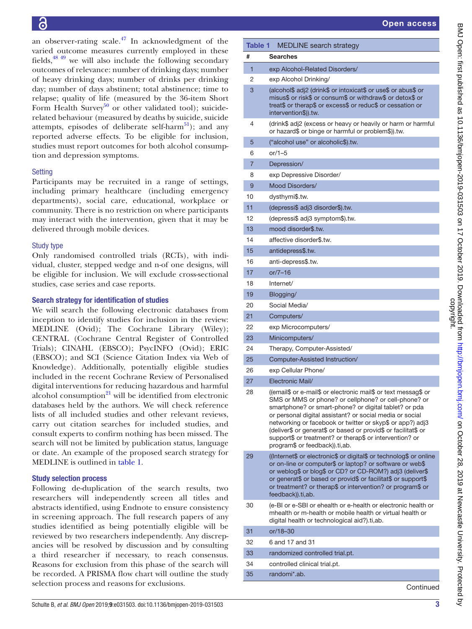an observer-rating scale. $47$  In acknowledgment of the varied outcome measures currently employed in these fields, $48\frac{49}{9}$  we will also include the following secondary outcomes of relevance: number of drinking days; number of heavy drinking days; number of drinks per drinking day; number of days abstinent; total abstinence; time to relapse; quality of life (measured by the 36‐item Short Form Health Survey<sup>50</sup> or other validated tool); suiciderelated behaviour (measured by deaths by suicide, suicide attempts, episodes of deliberate self-harm $^{51}$  $^{51}$  $^{51}$ ); and any reported adverse effects. To be eligible for inclusion, studies must report outcomes for both alcohol consumption and depression symptoms.

# **Setting**

Participants may be recruited in a range of settings, including primary healthcare (including emergency departments), social care, educational, workplace or community. There is no restriction on where participants may interact with the intervention, given that it may be delivered through mobile devices.

# Study type

Only randomised controlled trials (RCTs), with individual, cluster, stepped wedge and n-of one designs, will be eligible for inclusion. We will exclude cross-sectional studies, case series and case reports.

# Search strategy for identification of studies

We will search the following electronic databases from inception to identify studies for inclusion in the review: MEDLINE (Ovid); The Cochrane Library (Wiley); CENTRAL (Cochrane Central Register of Controlled Trials); CINAHL (EBSCO); PsycINFO (Ovid); ERIC (EBSCO); and SCI (Science Citation Index via Web of Knowledge). Additionally, potentially eligible studies included in the recent Cochrane Review of Personalised digital interventions for reducing hazardous and harmful alcohol consumption $^{21}$  will be identified from electronic databases held by the authors. We will check reference lists of all included studies and other relevant reviews, carry out citation searches for included studies, and consult experts to confirm nothing has been missed. The search will not be limited by publication status, language or date. An example of the proposed search strategy for MEDLINE is outlined in [table](#page-2-0) 1.

# Study selection process

Following de-duplication of the search results, two researchers will independently screen all titles and abstracts identified, using Endnote to ensure consistency in screening approach. The full research papers of any studies identified as being potentially eligible will be reviewed by two researchers independently. Any discrepancies will be resolved by discussion and by consulting a third researcher if necessary, to reach consensus. Reasons for exclusion from this phase of the search will be recorded. A PRISMA flow chart will outline the study selection process and reasons for exclusions.

<span id="page-2-0"></span>

| Table 1        | <b>MEDLINE</b> search strategy                                                                                                                                                                                                                                                                                                                                                                                                                                          |
|----------------|-------------------------------------------------------------------------------------------------------------------------------------------------------------------------------------------------------------------------------------------------------------------------------------------------------------------------------------------------------------------------------------------------------------------------------------------------------------------------|
| #              | <b>Searches</b>                                                                                                                                                                                                                                                                                                                                                                                                                                                         |
| $\mathbf{1}$   | exp Alcohol-Related Disorders/                                                                                                                                                                                                                                                                                                                                                                                                                                          |
| 2              | exp Alcohol Drinking/                                                                                                                                                                                                                                                                                                                                                                                                                                                   |
| 3              | (alcohol\$ adj2 (drink\$ or intoxicat\$ or use\$ or abus\$ or<br>misus\$ or risk\$ or consum\$ or withdraw\$ or detox\$ or<br>treat\$ or therap\$ or excess\$ or reduc\$ or cessation or<br>intervention\$)).tw.                                                                                                                                                                                                                                                        |
| 4              | (drink\$ adj2 (excess or heavy or heavily or harm or harmful<br>or hazard\$ or binge or harmful or problem\$)).tw.                                                                                                                                                                                                                                                                                                                                                      |
| 5              | ("alcohol use" or alcoholic\$).tw.                                                                                                                                                                                                                                                                                                                                                                                                                                      |
| 6              | or/1 $-5$                                                                                                                                                                                                                                                                                                                                                                                                                                                               |
| $\overline{7}$ | Depression/                                                                                                                                                                                                                                                                                                                                                                                                                                                             |
| 8              | exp Depressive Disorder/                                                                                                                                                                                                                                                                                                                                                                                                                                                |
| 9              | <b>Mood Disorders/</b>                                                                                                                                                                                                                                                                                                                                                                                                                                                  |
| 10             | dysthymi\$.tw.                                                                                                                                                                                                                                                                                                                                                                                                                                                          |
| 11             | (depressi\$ adj3 disorder\$).tw.                                                                                                                                                                                                                                                                                                                                                                                                                                        |
| 12             | (depressi\$ adj3 symptom\$).tw.                                                                                                                                                                                                                                                                                                                                                                                                                                         |
| 13             | mood disorder\$.tw.                                                                                                                                                                                                                                                                                                                                                                                                                                                     |
| 14             | affective disorder\$.tw.                                                                                                                                                                                                                                                                                                                                                                                                                                                |
| 15             | antidepress\$.tw.                                                                                                                                                                                                                                                                                                                                                                                                                                                       |
| 16             | anti-depress\$.tw.                                                                                                                                                                                                                                                                                                                                                                                                                                                      |
| 17             | $or / 7 - 16$                                                                                                                                                                                                                                                                                                                                                                                                                                                           |
| 18             | Internet/                                                                                                                                                                                                                                                                                                                                                                                                                                                               |
| 19             | Blogging/                                                                                                                                                                                                                                                                                                                                                                                                                                                               |
| 20             | Social Media/                                                                                                                                                                                                                                                                                                                                                                                                                                                           |
| 21             | Computers/                                                                                                                                                                                                                                                                                                                                                                                                                                                              |
| 22             | exp Microcomputers/                                                                                                                                                                                                                                                                                                                                                                                                                                                     |
| 23             | Minicomputers/                                                                                                                                                                                                                                                                                                                                                                                                                                                          |
| 24             | Therapy, Computer-Assisted/                                                                                                                                                                                                                                                                                                                                                                                                                                             |
| 25             | Computer-Assisted Instruction/                                                                                                                                                                                                                                                                                                                                                                                                                                          |
| 26             | exp Cellular Phone/                                                                                                                                                                                                                                                                                                                                                                                                                                                     |
| 27             | Electronic Mail/                                                                                                                                                                                                                                                                                                                                                                                                                                                        |
| 28             | ((email\$ or e-mail\$ or electronic mail\$ or text messag\$ or<br>SMS or MMS or phone? or cellphone? or cell-phone? or<br>smartphone? or smart-phone? or digital tablet? or pda<br>or personal digital assistant? or social media or social<br>networking or facebook or twitter or skyp\$ or app?) adj3<br>(deliver\$ or generat\$ or based or provid\$ or facilitat\$ or<br>support\$ or treatment? or therap\$ or intervention? or<br>program\$ or feedback)).ti,ab. |
| 29             | ((Internet\$ or electronic\$ or digital\$ or technolog\$ or online<br>or on-line or computer\$ or laptop? or software or web\$<br>or weblog\$ or blog\$ or CD? or CD-ROM?) adj3 (deliver\$<br>or generat\$ or based or provid\$ or facilitat\$ or support\$<br>or treatment? or therap\$ or intervention? or program\$ or<br>feedback)).ti,ab.                                                                                                                          |
| 30             | (e-BI or e-SBI or ehealth or e-health or electronic health or<br>mhealth or m-health or mobile health or virtual health or<br>digital health or technological aid?).ti,ab.                                                                                                                                                                                                                                                                                              |
| 31             | or/18-30                                                                                                                                                                                                                                                                                                                                                                                                                                                                |
| 32             | 6 and 17 and 31                                                                                                                                                                                                                                                                                                                                                                                                                                                         |
| 33             | randomized controlled trial.pt.                                                                                                                                                                                                                                                                                                                                                                                                                                         |
| 34             | controlled clinical trial.pt.                                                                                                                                                                                                                                                                                                                                                                                                                                           |
| 35             | randomi*.ab.                                                                                                                                                                                                                                                                                                                                                                                                                                                            |
|                | Continued                                                                                                                                                                                                                                                                                                                                                                                                                                                               |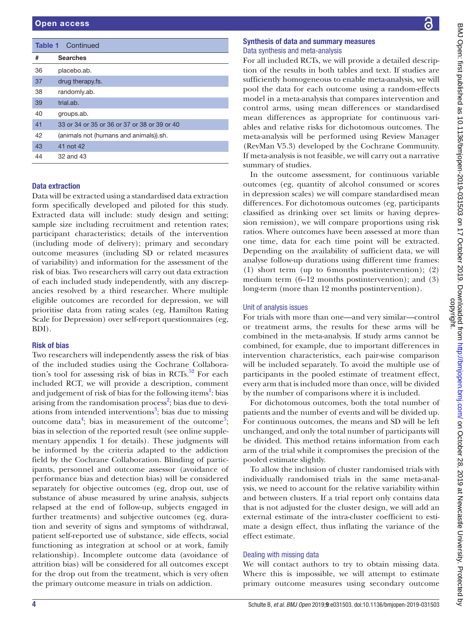| <b>Table 1</b> Continued |                                              |  |
|--------------------------|----------------------------------------------|--|
| #                        | <b>Searches</b>                              |  |
| 36                       | placebo.ab.                                  |  |
| 37                       | drug therapy.fs.                             |  |
| 38                       | randomly.ab.                                 |  |
| 39                       | trial.ab.                                    |  |
| 40                       | groups.ab.                                   |  |
| 41                       | 33 or 34 or 35 or 36 or 37 or 38 or 39 or 40 |  |
| 42                       | (animals not (humans and animals)).sh.       |  |
| 43                       | 41 not 42                                    |  |
| 44                       | 32 and 43                                    |  |

## Data extraction

Data will be extracted using a standardised data extraction form specifically developed and piloted for this study. Extracted data will include: study design and setting; sample size including recruitment and retention rates; participant characteristics; details of the intervention (including mode of delivery); primary and secondary outcome measures (including SD or related measures of variability) and information for the assessment of the risk of bias. Two researchers will carry out data extraction of each included study independently, with any discrepancies resolved by a third researcher. Where multiple eligible outcomes are recorded for depression, we will prioritise data from rating scales (eg, Hamilton Rating Scale for Depression) over self-report questionnaires (eg, BDI).

## Risk of bias

Two researchers will independently assess the risk of bias of the included studies using the Cochrane Collaboration's tool for assessing risk of bias in RCTs. $52$  For each included RCT, we will provide a description, comment and judgement of risk of bias for the following items<sup>[1](#page-4-0)</sup>: bias arising from the randomisation process<sup>[2](#page-4-7)</sup>; bias due to devi-ations from intended interventions<sup>[3](#page-4-1)</sup>; bias due to missing outcome data<sup>4</sup>; bias in measurement of the outcome<sup>5</sup>; bias in selection of the reported result (see [online supple](https://dx.doi.org/10.1136/bmjopen-2019-031503)[mentary appendix 1](https://dx.doi.org/10.1136/bmjopen-2019-031503) for details). These judgments will be informed by the criteria adapted to the addiction field by the Cochrane Collaboration. Blinding of participants, personnel and outcome assessor (avoidance of performance bias and detection bias) will be considered separately for objective outcomes (eg, drop out, use of substance of abuse measured by urine analysis, subjects relapsed at the end of follow-up, subjects engaged in further treatments) and subjective outcomes (eg, duration and severity of signs and symptoms of withdrawal, patient self-reported use of substance, side effects, social functioning as integration at school or at work, family relationship). Incomplete outcome data (avoidance of attrition bias) will be considered for all outcomes except for the drop out from the treatment, which is very often the primary outcome measure in trials on addiction.

#### Synthesis of data and summary measures Data synthesis and meta-analysis

For all included RCTs, we will provide a detailed description of the results in both tables and text. If studies are sufficiently homogeneous to enable meta-analysis, we will pool the data for each outcome using a random-effects model in a meta-analysis that compares intervention and control arms, using mean differences or standardised mean differences as appropriate for continuous variables and relative risks for dichotomous outcomes. The meta-analysis will be performed using Review Manager (RevMan V5.3) developed by the Cochrane Community. If meta-analysis is not feasible, we will carry out a narrative summary of studies.

In the outcome assessment, for continuous variable outcomes (eg, quantity of alcohol consumed or scores in depression scales) we will compare standardised mean differences. For dichotomous outcomes (eg, participants classified as drinking over set limits or having depression remission), we will compare proportions using risk ratios. Where outcomes have been assessed at more than one time, data for each time point will be extracted. Depending on the availability of sufficient data, we will analyse follow-up durations using different time frames: (1) short term (up to 6months postintervention); (2) medium term (6–12 months postintervention); and (3) long-term (more than 12 months postintervention).

## Unit of analysis issues

For trials with more than one—and very similar—control or treatment arms, the results for these arms will be combined in the meta-analysis. If study arms cannot be combined, for example, due to important differences in intervention characteristics, each pair-wise comparison will be included separately. To avoid the multiple use of participants in the pooled estimate of treatment effect, every arm that is included more than once, will be divided by the number of comparisons where it is included.

For dichotomous outcomes, both the total number of patients and the number of events and will be divided up. For continuous outcomes, the means and SD will be left unchanged, and only the total number of participants will be divided. This method retains information from each arm of the trial while it compromises the precision of the pooled estimate slightly.

To allow the inclusion of cluster randomised trials with individually randomised trials in the same meta-analysis, we need to account for the relative variability within and between clusters. If a trial report only contains data that is not adjusted for the cluster design, we will add an external estimate of the intra-cluster coefficient to estimate a design effect, thus inflating the variance of the effect estimate.

# Dealing with missing data

We will contact authors to try to obtain missing data. Where this is impossible, we will attempt to estimate primary outcome measures using secondary outcome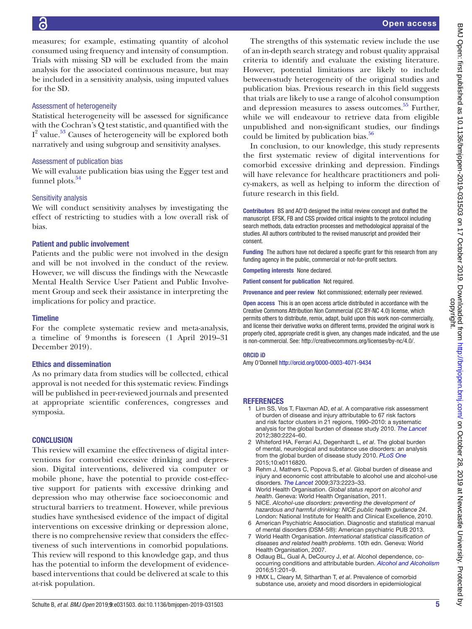BMJ Open: first published as 10.1136/bmjopen-2019-031503 on 17 October 2019. Downloaded from http://bmjopen.bmj.com/ on October 28, 2019 at Newcastle University. Protected by<br>copyright. BMJ Open: first published as 10.1136/bmjopen-2019-0319. Bu 17 October 2019. Downloaded from <http://bmjopen.bmj.com/> BM October 28, 2019 at Newcastle University. Protected by

measures; for example, estimating quantity of alcohol consumed using frequency and intensity of consumption. Trials with missing SD will be excluded from the main analysis for the associated continuous measure, but may be included in a sensitivity analysis, using imputed values for the SD.

## Assessment of heterogeneity

Statistical heterogeneity will be assessed for significance with the Cochran's Q test statistic, and quantified with the  $I^2$  value.<sup>53</sup> Causes of heterogeneity will be explored both narratively and using subgroup and sensitivity analyses.

## Assessment of publication bias

We will evaluate publication bias using the Egger test and funnel plots. $54$ 

## Sensitivity analysis

We will conduct sensitivity analyses by investigating the effect of restricting to studies with a low overall risk of bias.

## Patient and public involvement

Patients and the public were not involved in the design and will be not involved in the conduct of the review. However, we will discuss the findings with the Newcastle Mental Health Service User Patient and Public Involvement Group and seek their assistance in interpreting the implications for policy and practice.

## Timeline

For the complete systematic review and meta-analysis, a timeline of 9months is foreseen (1 April 2019–31 December 2019).

## Ethics and dissemination

As no primary data from studies will be collected, ethical approval is not needed for this systematic review. Findings will be published in peer-reviewed journals and presented at appropriate scientific conferences, congresses and symposia.

## **CONCLUSION**

This review will examine the effectiveness of digital interventions for comorbid excessive drinking and depression. Digital interventions, delivered via computer or mobile phone, have the potential to provide cost-effective support for patients with excessive drinking and depression who may otherwise face socioeconomic and structural barriers to treatment. However, while previous studies have synthesised evidence of the impact of digital interventions on excessive drinking or depression alone, there is no comprehensive review that considers the effectiveness of such interventions in comorbid populations. This review will respond to this knowledge gap, and thus has the potential to inform the development of evidencebased interventions that could be delivered at scale to this at-risk population.

The strengths of this systematic review include the use of an in-depth search strategy and robust quality appraisal criteria to identify and evaluate the existing literature. However, potential limitations are likely to include between-study heterogeneity of the original studies and publication bias. Previous research in this field suggests that trials are likely to use a range of alcohol consumption and depression measures to assess outcomes.<sup>55</sup> Further, while we will endeavour to retrieve data from eligible unpublished and non-significant studies, our findings could be limited by publication bias. $56$ 

In conclusion, to our knowledge, this study represents the first systematic review of digital interventions for comorbid excessive drinking and depression. Findings will have relevance for healthcare practitioners and policy-makers, as well as helping to inform the direction of future research in this field.

Contributors BS and AO'D designed the initial review concept and drafted the manuscript. EFSK, FB and CSS provided critical insights to the protocol including search methods, data extraction processes and methodological appraisal of the studies. All authors contributed to the revised manuscript and provided their consent.

Funding The authors have not declared a specific grant for this research from any funding agency in the public, commercial or not-for-profit sectors.

Competing interests None declared.

Patient consent for publication Not required.

Provenance and peer review Not commissioned; externally peer reviewed.

Open access This is an open access article distributed in accordance with the Creative Commons Attribution Non Commercial (CC BY-NC 4.0) license, which permits others to distribute, remix, adapt, build upon this work non-commercially, and license their derivative works on different terms, provided the original work is properly cited, appropriate credit is given, any changes made indicated, and the use is non-commercial. See: [http://creativecommons.org/licenses/by-nc/4.0/.](http://creativecommons.org/licenses/by-nc/4.0/)

#### ORCID iD

Amy O'Donnell<http://orcid.org/0000-0003-4071-9434>

## **REFERENCES**

- <span id="page-4-0"></span>1 Lim SS, Vos T, Flaxman AD, *et al*. A comparative risk assessment of burden of disease and injury attributable to 67 risk factors and risk factor clusters in 21 regions, 1990–2010: a systematic analysis for the global burden of disease study 2010. *[The Lancet](http://dx.doi.org/10.1016/S0140-6736(12)61766-8)* 2012;380:2224–60.
- <span id="page-4-7"></span>2 Whiteford HA, Ferrari AJ, Degenhardt L, *et al*. The global burden of mental, neurological and substance use disorders: an analysis from the global burden of disease study 2010. *[PLoS One](http://dx.doi.org/10.1371/journal.pone.0116820)* 2015;10:e0116820.
- <span id="page-4-1"></span>3 Rehm J, Mathers C, Popova S, *et al*. Global burden of disease and injury and economic cost attributable to alcohol use and alcohol-use disorders. *[The Lancet](http://dx.doi.org/10.1016/S0140-6736(09)60746-7)* 2009;373:2223–33.
- <span id="page-4-2"></span>4 World Health Organisation. *Global status report on alcohol and health*. Geneva: World Health Organisation, 2011.
- <span id="page-4-3"></span>5 NICE. *Alcohol-use disorders: preventing the development of hazardous and harmful drinking: NICE public health guidance 24*. London: National Institute for Health and Clinical Excellence, 2010.
- <span id="page-4-4"></span>6 American Psychiatric Association. Diagnostic and statistical manual of mental disorders (DSM-5®): American psychiatric PUB 2013.
- <span id="page-4-6"></span>7 World Health Organisation. *International statistical classification of diseases and related health problems*. 10th edn. Geneva: World Health Organisation, 2007.
- <span id="page-4-5"></span>8 Odlaug BL, Gual A, DeCourcy J, *et al*. Alcohol dependence, cooccurring conditions and attributable burden. *[Alcohol and Alcoholism](http://dx.doi.org/10.1093/alcalc/agv088)* 2016;51:201–9.
- 9 HMX L, Cleary M, Sitharthan T, *et al*. Prevalence of comorbid substance use, anxiety and mood disorders in epidemiological